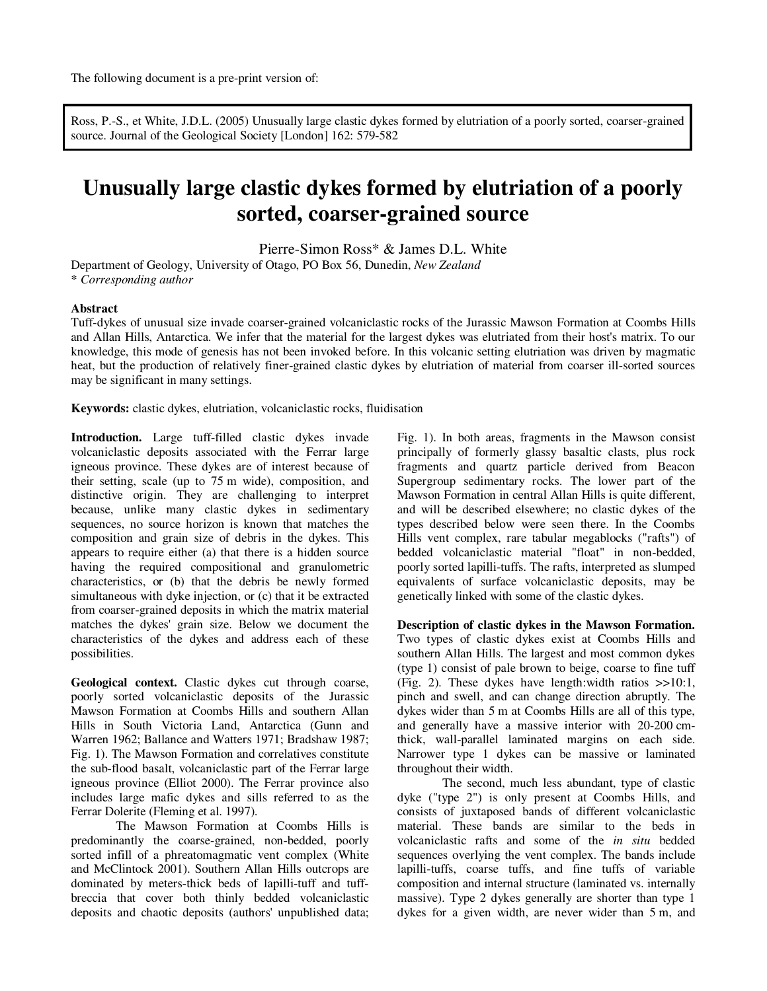Ross, P.-S., et White, J.D.L. (2005) Unusually large clastic dykes formed by elutriation of a poorly sorted, coarser-grained source. Journal of the Geological Society [London] 162: 579-582

# **Unusually large clastic dykes formed by elutriation of a poorly sorted, coarser-grained source**

Pierre-Simon Ross\* & James D.L. White

Department of Geology, University of Otago, PO Box 56, Dunedin, *New Zealand* \* *Corresponding author*

#### **Abstract**

Tuff-dykes of unusual size invade coarser-grained volcaniclastic rocks of the Jurassic Mawson Formation at Coombs Hills and Allan Hills, Antarctica. We infer that the material for the largest dykes was elutriated from their host's matrix. To our knowledge, this mode of genesis has not been invoked before. In this volcanic setting elutriation was driven by magmatic heat, but the production of relatively finer-grained clastic dykes by elutriation of material from coarser ill-sorted sources may be significant in many settings.

**Keywords:** clastic dykes, elutriation, volcaniclastic rocks, fluidisation

**Introduction.** Large tuff-filled clastic dykes invade volcaniclastic deposits associated with the Ferrar large igneous province. These dykes are of interest because of their setting, scale (up to 75 m wide), composition, and distinctive origin. They are challenging to interpret because, unlike many clastic dykes in sedimentary sequences, no source horizon is known that matches the composition and grain size of debris in the dykes. This appears to require either (a) that there is a hidden source having the required compositional and granulometric characteristics, or (b) that the debris be newly formed simultaneous with dyke injection, or (c) that it be extracted from coarser-grained deposits in which the matrix material matches the dykes' grain size. Below we document the characteristics of the dykes and address each of these possibilities.

**Geological context.** Clastic dykes cut through coarse, poorly sorted volcaniclastic deposits of the Jurassic Mawson Formation at Coombs Hills and southern Allan Hills in South Victoria Land, Antarctica (Gunn and Warren 1962; Ballance and Watters 1971; Bradshaw 1987; Fig. 1). The Mawson Formation and correlatives constitute the sub-flood basalt, volcaniclastic part of the Ferrar large igneous province (Elliot 2000). The Ferrar province also includes large mafic dykes and sills referred to as the Ferrar Dolerite (Fleming et al. 1997).

The Mawson Formation at Coombs Hills is predominantly the coarse-grained, non-bedded, poorly sorted infill of a phreatomagmatic vent complex (White and McClintock 2001). Southern Allan Hills outcrops are dominated by meters-thick beds of lapilli-tuff and tuffbreccia that cover both thinly bedded volcaniclastic deposits and chaotic deposits (authors' unpublished data;

Fig. 1). In both areas, fragments in the Mawson consist principally of formerly glassy basaltic clasts, plus rock fragments and quartz particle derived from Beacon Supergroup sedimentary rocks. The lower part of the Mawson Formation in central Allan Hills is quite different, and will be described elsewhere; no clastic dykes of the types described below were seen there. In the Coombs Hills vent complex, rare tabular megablocks ("rafts") of bedded volcaniclastic material "float" in non-bedded, poorly sorted lapilli-tuffs. The rafts, interpreted as slumped equivalents of surface volcaniclastic deposits, may be genetically linked with some of the clastic dykes.

**Description of clastic dykes in the Mawson Formation.**  Two types of clastic dykes exist at Coombs Hills and southern Allan Hills. The largest and most common dykes (type 1) consist of pale brown to beige, coarse to fine tuff (Fig. 2). These dykes have length:width ratios >>10:1, pinch and swell, and can change direction abruptly. The dykes wider than 5 m at Coombs Hills are all of this type, and generally have a massive interior with 20-200 cmthick, wall-parallel laminated margins on each side. Narrower type 1 dykes can be massive or laminated throughout their width.

The second, much less abundant, type of clastic dyke ("type 2") is only present at Coombs Hills, and consists of juxtaposed bands of different volcaniclastic material. These bands are similar to the beds in volcaniclastic rafts and some of the *in situ* bedded sequences overlying the vent complex. The bands include lapilli-tuffs, coarse tuffs, and fine tuffs of variable composition and internal structure (laminated vs. internally massive). Type 2 dykes generally are shorter than type 1 dykes for a given width, are never wider than 5 m, and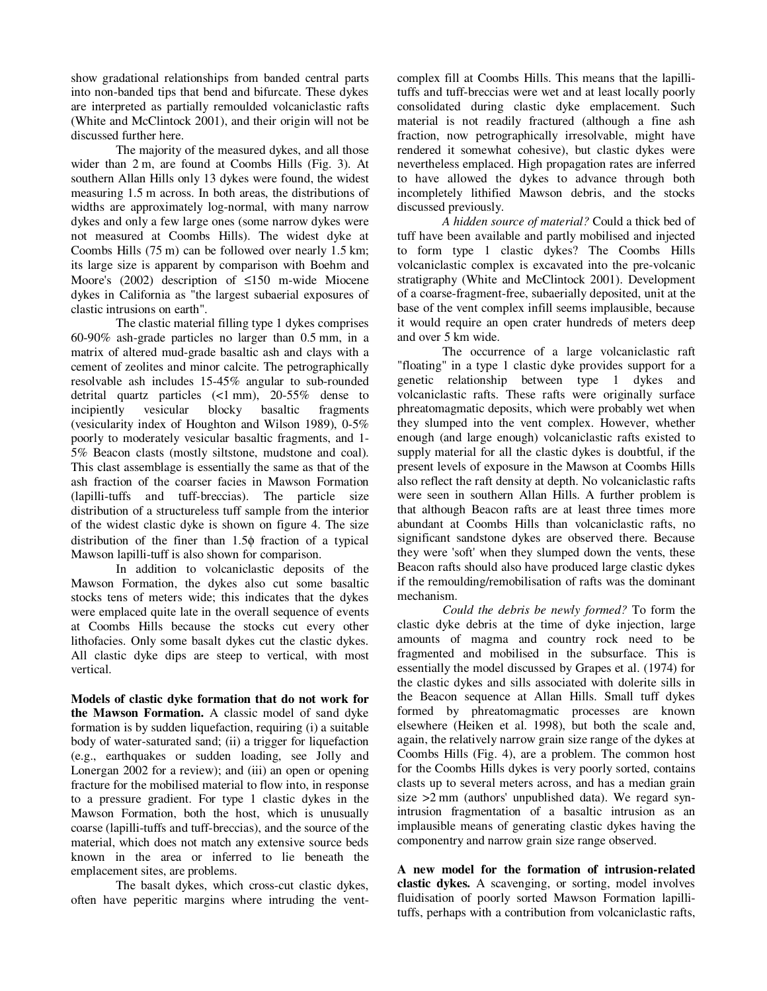show gradational relationships from banded central parts into non-banded tips that bend and bifurcate. These dykes are interpreted as partially remoulded volcaniclastic rafts (White and McClintock 2001), and their origin will not be discussed further here.

The majority of the measured dykes, and all those wider than 2 m, are found at Coombs Hills (Fig. 3). At southern Allan Hills only 13 dykes were found, the widest measuring 1.5 m across. In both areas, the distributions of widths are approximately log-normal, with many narrow dykes and only a few large ones (some narrow dykes were not measured at Coombs Hills). The widest dyke at Coombs Hills (75 m) can be followed over nearly 1.5 km; its large size is apparent by comparison with Boehm and Moore's (2002) description of ≤150 m-wide Miocene dykes in California as "the largest subaerial exposures of clastic intrusions on earth".

The clastic material filling type 1 dykes comprises 60-90% ash-grade particles no larger than 0.5 mm, in a matrix of altered mud-grade basaltic ash and clays with a cement of zeolites and minor calcite. The petrographically resolvable ash includes 15-45% angular to sub-rounded detrital quartz particles (<1 mm), 20-55% dense to incipiently vesicular blocky basaltic fragments (vesicularity index of Houghton and Wilson 1989), 0-5% poorly to moderately vesicular basaltic fragments, and 1- 5% Beacon clasts (mostly siltstone, mudstone and coal). This clast assemblage is essentially the same as that of the ash fraction of the coarser facies in Mawson Formation (lapilli-tuffs and tuff-breccias). The particle size distribution of a structureless tuff sample from the interior of the widest clastic dyke is shown on figure 4. The size distribution of the finer than 1.5φ fraction of a typical Mawson lapilli-tuff is also shown for comparison.

In addition to volcaniclastic deposits of the Mawson Formation, the dykes also cut some basaltic stocks tens of meters wide; this indicates that the dykes were emplaced quite late in the overall sequence of events at Coombs Hills because the stocks cut every other lithofacies. Only some basalt dykes cut the clastic dykes. All clastic dyke dips are steep to vertical, with most vertical.

**Models of clastic dyke formation that do not work for the Mawson Formation.** A classic model of sand dyke formation is by sudden liquefaction, requiring (i) a suitable body of water-saturated sand; (ii) a trigger for liquefaction (e.g., earthquakes or sudden loading, see Jolly and Lonergan 2002 for a review); and (iii) an open or opening fracture for the mobilised material to flow into, in response to a pressure gradient. For type 1 clastic dykes in the Mawson Formation, both the host, which is unusually coarse (lapilli-tuffs and tuff-breccias), and the source of the material, which does not match any extensive source beds known in the area or inferred to lie beneath the emplacement sites, are problems.

The basalt dykes, which cross-cut clastic dykes, often have peperitic margins where intruding the ventcomplex fill at Coombs Hills. This means that the lapillituffs and tuff-breccias were wet and at least locally poorly consolidated during clastic dyke emplacement. Such material is not readily fractured (although a fine ash fraction, now petrographically irresolvable, might have rendered it somewhat cohesive), but clastic dykes were nevertheless emplaced. High propagation rates are inferred to have allowed the dykes to advance through both incompletely lithified Mawson debris, and the stocks discussed previously.

*A hidden source of material?* Could a thick bed of tuff have been available and partly mobilised and injected to form type 1 clastic dykes? The Coombs Hills volcaniclastic complex is excavated into the pre-volcanic stratigraphy (White and McClintock 2001). Development of a coarse-fragment-free, subaerially deposited, unit at the base of the vent complex infill seems implausible, because it would require an open crater hundreds of meters deep and over 5 km wide.

The occurrence of a large volcaniclastic raft "floating" in a type 1 clastic dyke provides support for a genetic relationship between type 1 dykes and volcaniclastic rafts. These rafts were originally surface phreatomagmatic deposits, which were probably wet when they slumped into the vent complex. However, whether enough (and large enough) volcaniclastic rafts existed to supply material for all the clastic dykes is doubtful, if the present levels of exposure in the Mawson at Coombs Hills also reflect the raft density at depth. No volcaniclastic rafts were seen in southern Allan Hills. A further problem is that although Beacon rafts are at least three times more abundant at Coombs Hills than volcaniclastic rafts, no significant sandstone dykes are observed there. Because they were 'soft' when they slumped down the vents, these Beacon rafts should also have produced large clastic dykes if the remoulding/remobilisation of rafts was the dominant mechanism.

*Could the debris be newly formed?* To form the clastic dyke debris at the time of dyke injection, large amounts of magma and country rock need to be fragmented and mobilised in the subsurface. This is essentially the model discussed by Grapes et al. (1974) for the clastic dykes and sills associated with dolerite sills in the Beacon sequence at Allan Hills. Small tuff dykes formed by phreatomagmatic processes are known elsewhere (Heiken et al. 1998), but both the scale and, again, the relatively narrow grain size range of the dykes at Coombs Hills (Fig. 4), are a problem. The common host for the Coombs Hills dykes is very poorly sorted, contains clasts up to several meters across, and has a median grain size >2 mm (authors' unpublished data). We regard synintrusion fragmentation of a basaltic intrusion as an implausible means of generating clastic dykes having the componentry and narrow grain size range observed.

**A new model for the formation of intrusion-related clastic dykes.** A scavenging, or sorting, model involves fluidisation of poorly sorted Mawson Formation lapillituffs, perhaps with a contribution from volcaniclastic rafts,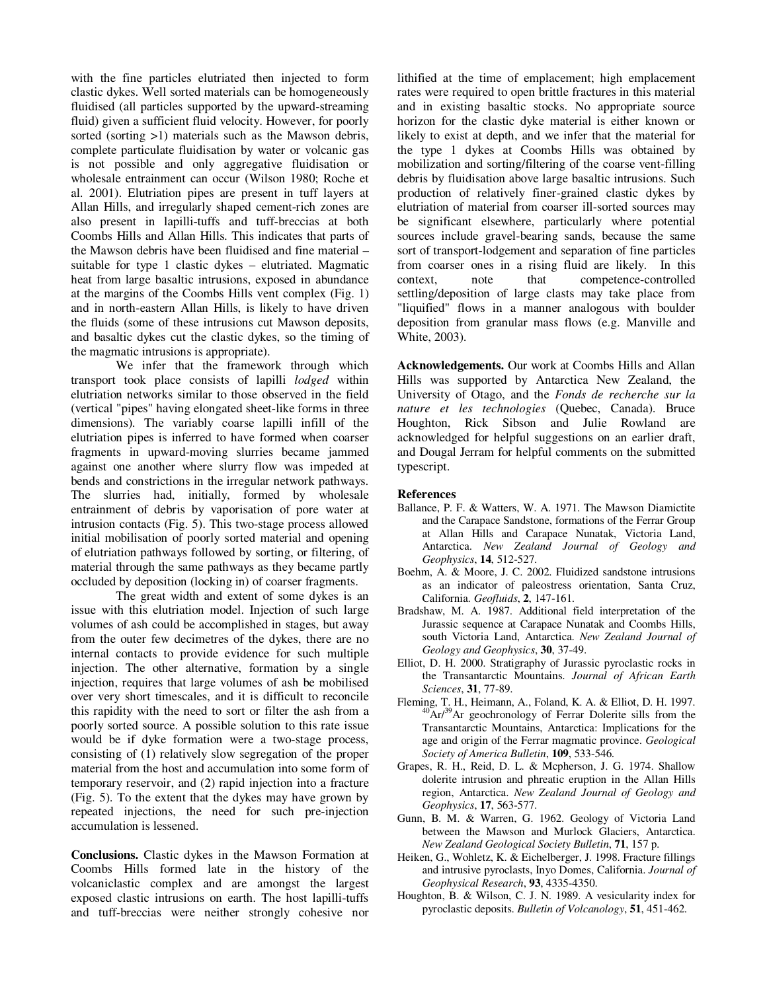with the fine particles elutriated then injected to form clastic dykes. Well sorted materials can be homogeneously fluidised (all particles supported by the upward-streaming fluid) given a sufficient fluid velocity. However, for poorly sorted (sorting  $>1$ ) materials such as the Mawson debris, complete particulate fluidisation by water or volcanic gas is not possible and only aggregative fluidisation or wholesale entrainment can occur (Wilson 1980; Roche et al. 2001). Elutriation pipes are present in tuff layers at Allan Hills, and irregularly shaped cement-rich zones are also present in lapilli-tuffs and tuff-breccias at both Coombs Hills and Allan Hills. This indicates that parts of the Mawson debris have been fluidised and fine material – suitable for type 1 clastic dykes – elutriated. Magmatic heat from large basaltic intrusions, exposed in abundance at the margins of the Coombs Hills vent complex (Fig. 1) and in north-eastern Allan Hills, is likely to have driven the fluids (some of these intrusions cut Mawson deposits, and basaltic dykes cut the clastic dykes, so the timing of the magmatic intrusions is appropriate).

We infer that the framework through which transport took place consists of lapilli *lodged* within elutriation networks similar to those observed in the field (vertical "pipes" having elongated sheet-like forms in three dimensions). The variably coarse lapilli infill of the elutriation pipes is inferred to have formed when coarser fragments in upward-moving slurries became jammed against one another where slurry flow was impeded at bends and constrictions in the irregular network pathways. The slurries had, initially, formed by wholesale entrainment of debris by vaporisation of pore water at intrusion contacts (Fig. 5). This two-stage process allowed initial mobilisation of poorly sorted material and opening of elutriation pathways followed by sorting, or filtering, of material through the same pathways as they became partly occluded by deposition (locking in) of coarser fragments.

The great width and extent of some dykes is an issue with this elutriation model. Injection of such large volumes of ash could be accomplished in stages, but away from the outer few decimetres of the dykes, there are no internal contacts to provide evidence for such multiple injection. The other alternative, formation by a single injection, requires that large volumes of ash be mobilised over very short timescales, and it is difficult to reconcile this rapidity with the need to sort or filter the ash from a poorly sorted source. A possible solution to this rate issue would be if dyke formation were a two-stage process, consisting of (1) relatively slow segregation of the proper material from the host and accumulation into some form of temporary reservoir, and (2) rapid injection into a fracture (Fig. 5). To the extent that the dykes may have grown by repeated injections, the need for such pre-injection accumulation is lessened.

**Conclusions.** Clastic dykes in the Mawson Formation at Coombs Hills formed late in the history of the volcaniclastic complex and are amongst the largest exposed clastic intrusions on earth. The host lapilli-tuffs and tuff-breccias were neither strongly cohesive nor

lithified at the time of emplacement; high emplacement rates were required to open brittle fractures in this material and in existing basaltic stocks. No appropriate source horizon for the clastic dyke material is either known or likely to exist at depth, and we infer that the material for the type 1 dykes at Coombs Hills was obtained by mobilization and sorting/filtering of the coarse vent-filling debris by fluidisation above large basaltic intrusions. Such production of relatively finer-grained clastic dykes by elutriation of material from coarser ill-sorted sources may be significant elsewhere, particularly where potential sources include gravel-bearing sands, because the same sort of transport-lodgement and separation of fine particles from coarser ones in a rising fluid are likely. In this context, note that competence-controlled settling/deposition of large clasts may take place from "liquified" flows in a manner analogous with boulder deposition from granular mass flows (e.g. Manville and White, 2003).

**Acknowledgements.** Our work at Coombs Hills and Allan Hills was supported by Antarctica New Zealand, the University of Otago, and the *Fonds de recherche sur la nature et les technologies* (Quebec, Canada). Bruce Houghton, Rick Sibson and Julie Rowland are acknowledged for helpful suggestions on an earlier draft, and Dougal Jerram for helpful comments on the submitted typescript.

#### **References**

- Ballance, P. F. & Watters, W. A. 1971. The Mawson Diamictite and the Carapace Sandstone, formations of the Ferrar Group at Allan Hills and Carapace Nunatak, Victoria Land, Antarctica. *New Zealand Journal of Geology and Geophysics*, **14**, 512-527.
- Boehm, A. & Moore, J. C. 2002. Fluidized sandstone intrusions as an indicator of paleostress orientation, Santa Cruz, California. *Geofluids*, **2**, 147-161.
- Bradshaw, M. A. 1987. Additional field interpretation of the Jurassic sequence at Carapace Nunatak and Coombs Hills, south Victoria Land, Antarctica. *New Zealand Journal of Geology and Geophysics*, **30**, 37-49.
- Elliot, D. H. 2000. Stratigraphy of Jurassic pyroclastic rocks in the Transantarctic Mountains. *Journal of African Earth Sciences*, **31**, 77-89.
- Fleming, T. H., Heimann, A., Foland, K. A. & Elliot, D. H. 1997.  $^{40}$ Ar/<sup>39</sup>Ar geochronology of Ferrar Dolerite sills from the Transantarctic Mountains, Antarctica: Implications for the age and origin of the Ferrar magmatic province. *Geological Society of America Bulletin*, **109**, 533-546.
- Grapes, R. H., Reid, D. L. & Mcpherson, J. G. 1974. Shallow dolerite intrusion and phreatic eruption in the Allan Hills region, Antarctica. *New Zealand Journal of Geology and Geophysics*, **17**, 563-577.
- Gunn, B. M. & Warren, G. 1962. Geology of Victoria Land between the Mawson and Murlock Glaciers, Antarctica. *New Zealand Geological Society Bulletin*, **71**, 157 p.
- Heiken, G., Wohletz, K. & Eichelberger, J. 1998. Fracture fillings and intrusive pyroclasts, Inyo Domes, California. *Journal of Geophysical Research*, **93**, 4335-4350.
- Houghton, B. & Wilson, C. J. N. 1989. A vesicularity index for pyroclastic deposits. *Bulletin of Volcanology*, **51**, 451-462.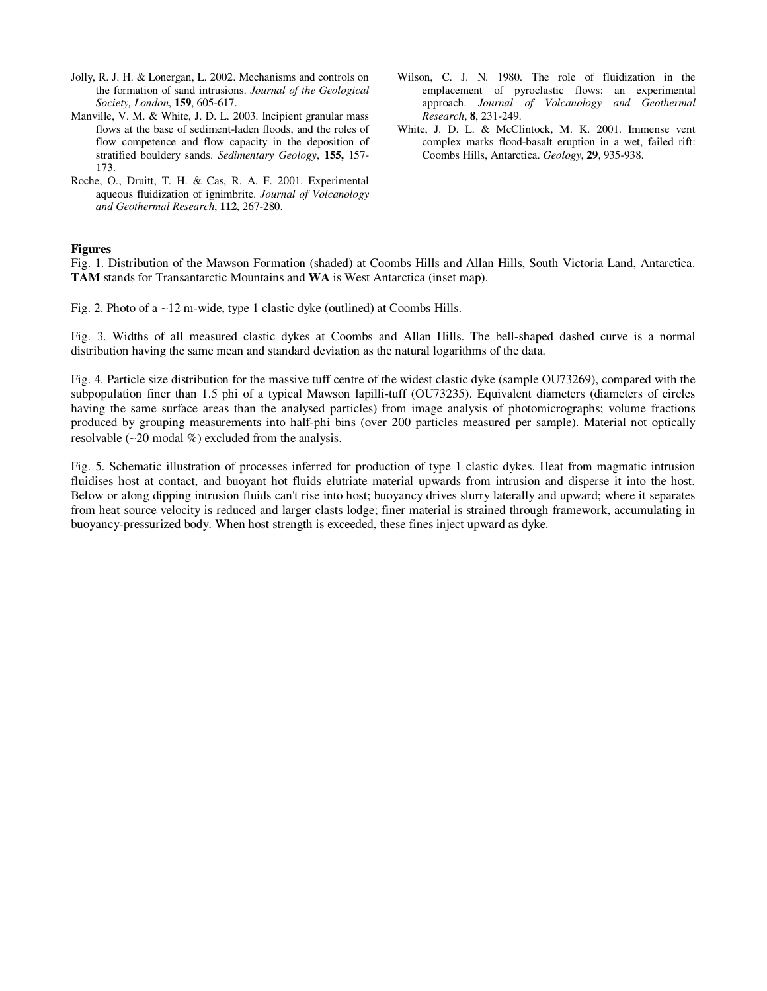- Jolly, R. J. H. & Lonergan, L. 2002. Mechanisms and controls on the formation of sand intrusions. *Journal of the Geological Society, London*, **159**, 605-617.
- Manville, V. M. & White, J. D. L. 2003. Incipient granular mass flows at the base of sediment-laden floods, and the roles of flow competence and flow capacity in the deposition of stratified bouldery sands. *Sedimentary Geology*, **155,** 157- 173.
- Roche, O., Druitt, T. H. & Cas, R. A. F. 2001. Experimental aqueous fluidization of ignimbrite. *Journal of Volcanology and Geothermal Research*, **112**, 267-280.
- Wilson, C. J. N. 1980. The role of fluidization in the emplacement of pyroclastic flows: an experimental approach. *Journal of Volcanology and Geothermal Research*, **8**, 231-249.
- White, J. D. L. & McClintock, M. K. 2001. Immense vent complex marks flood-basalt eruption in a wet, failed rift: Coombs Hills, Antarctica. *Geology*, **29**, 935-938.

#### **Figures**

Fig. 1. Distribution of the Mawson Formation (shaded) at Coombs Hills and Allan Hills, South Victoria Land, Antarctica. **TAM** stands for Transantarctic Mountains and **WA** is West Antarctica (inset map).

Fig. 2. Photo of a ∼12 m-wide, type 1 clastic dyke (outlined) at Coombs Hills.

Fig. 3. Widths of all measured clastic dykes at Coombs and Allan Hills. The bell-shaped dashed curve is a normal distribution having the same mean and standard deviation as the natural logarithms of the data.

Fig. 4. Particle size distribution for the massive tuff centre of the widest clastic dyke (sample OU73269), compared with the subpopulation finer than 1.5 phi of a typical Mawson lapilli-tuff (OU73235). Equivalent diameters (diameters of circles having the same surface areas than the analysed particles) from image analysis of photomicrographs; volume fractions produced by grouping measurements into half-phi bins (over 200 particles measured per sample). Material not optically resolvable (∼20 modal %) excluded from the analysis.

Fig. 5. Schematic illustration of processes inferred for production of type 1 clastic dykes. Heat from magmatic intrusion fluidises host at contact, and buoyant hot fluids elutriate material upwards from intrusion and disperse it into the host. Below or along dipping intrusion fluids can't rise into host; buoyancy drives slurry laterally and upward; where it separates from heat source velocity is reduced and larger clasts lodge; finer material is strained through framework, accumulating in buoyancy-pressurized body. When host strength is exceeded, these fines inject upward as dyke.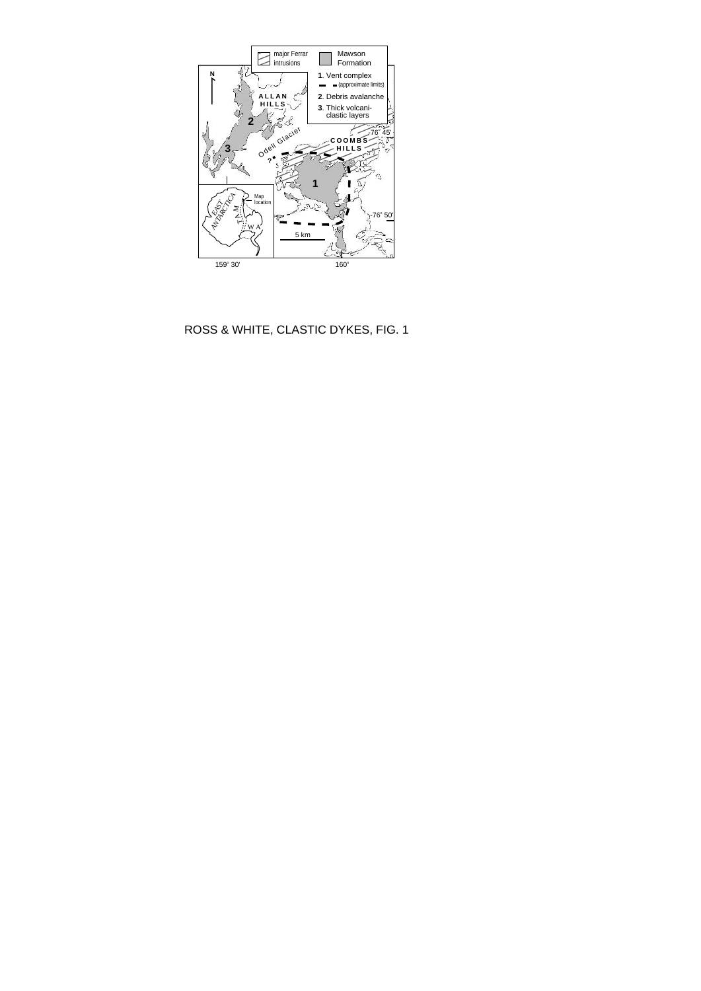

ROSS & WHITE, CLASTIC DYKES, FIG. 1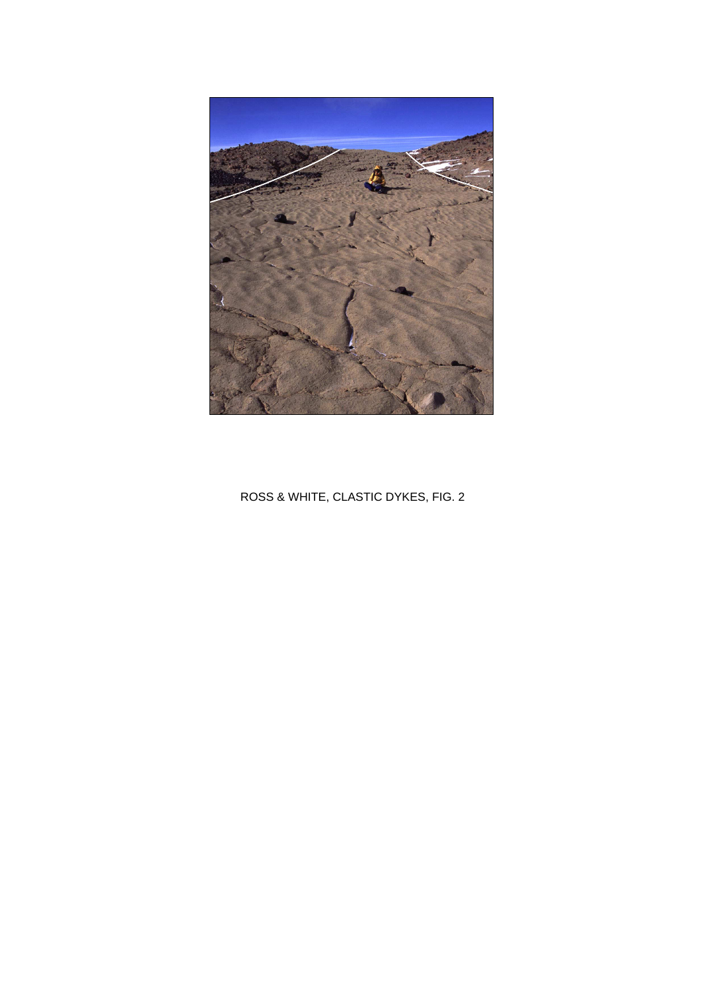

ROSS & WHITE, CLASTIC DYKES, FIG. 2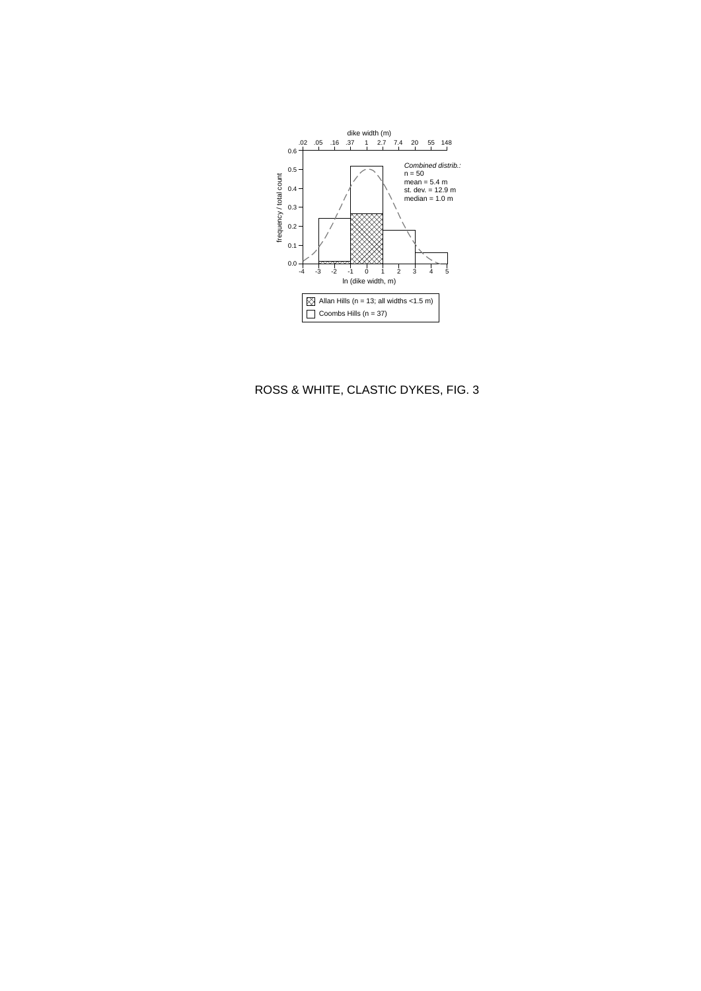

## ROSS & WHITE, CLASTIC DYKES, FIG. 3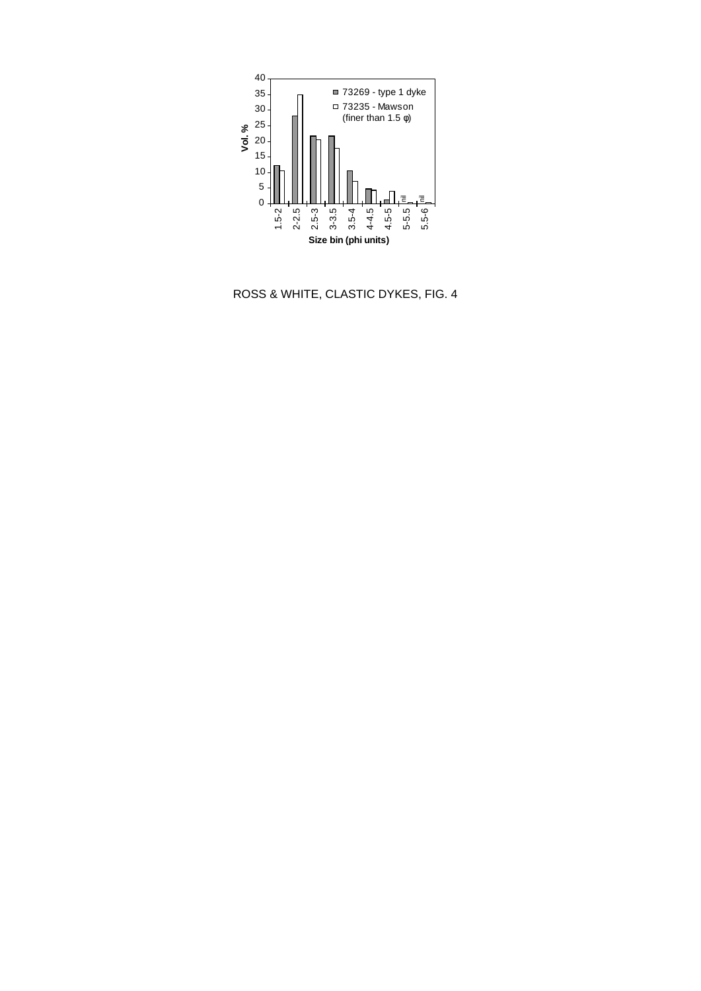

ROSS & WHITE, CLASTIC DYKES, FIG. 4